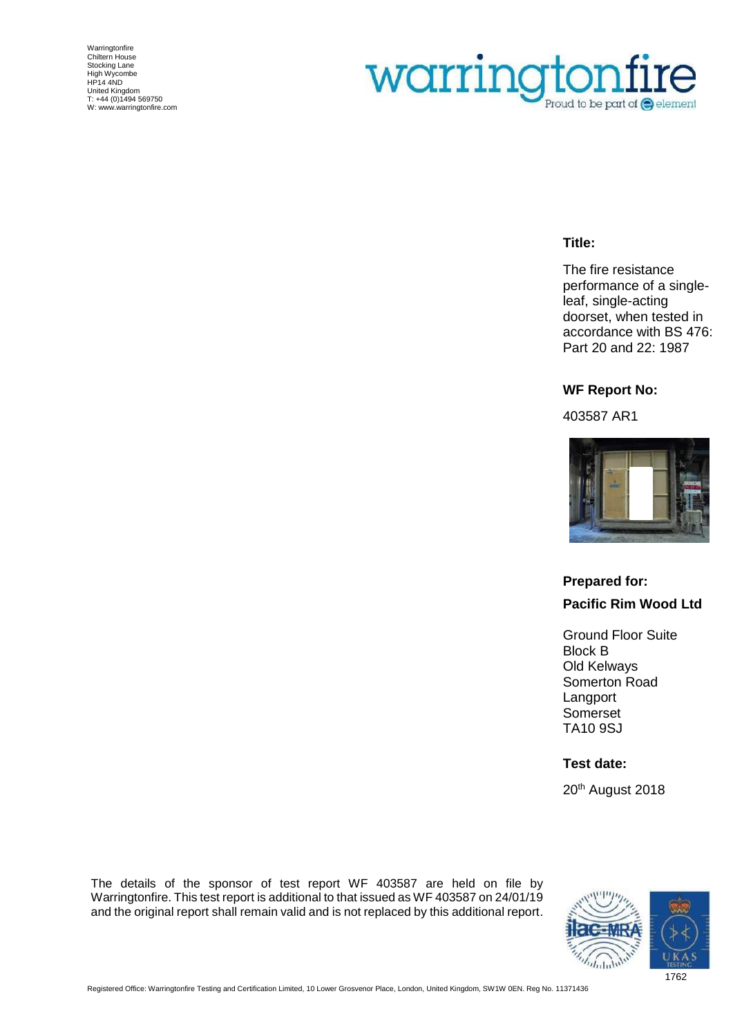Warringtonfire Chiltern House Stocking Lane High Wycombe HP14 4ND United Kingdom T: +44 (0)1494 569750 W[: www.warringtonfire.com](http://www.warringtonfire.com/)

# warringtonfire Proud to be part of  $\bigcirc$  element

#### **Title:**

The fire resistance performance of a singleleaf, single-acting doorset, when tested in accordance with BS 476: Part 20 and 22: 1987

#### **WF Report No:**

403587 AR1



## **Prepared for: Pacific Rim Wood Ltd**

Ground Floor Suite Block B Old Kelways Somerton Road Langport Somerset TA10 9SJ

#### **Test date:**

20<sup>th</sup> August 2018

The details of the sponsor of test report WF 403587 are held on file by Warringtonfire. This test report is additional to that issued as WF 403587 on 24/01/19 and the original report shall remain valid and is not replaced by this additional report.

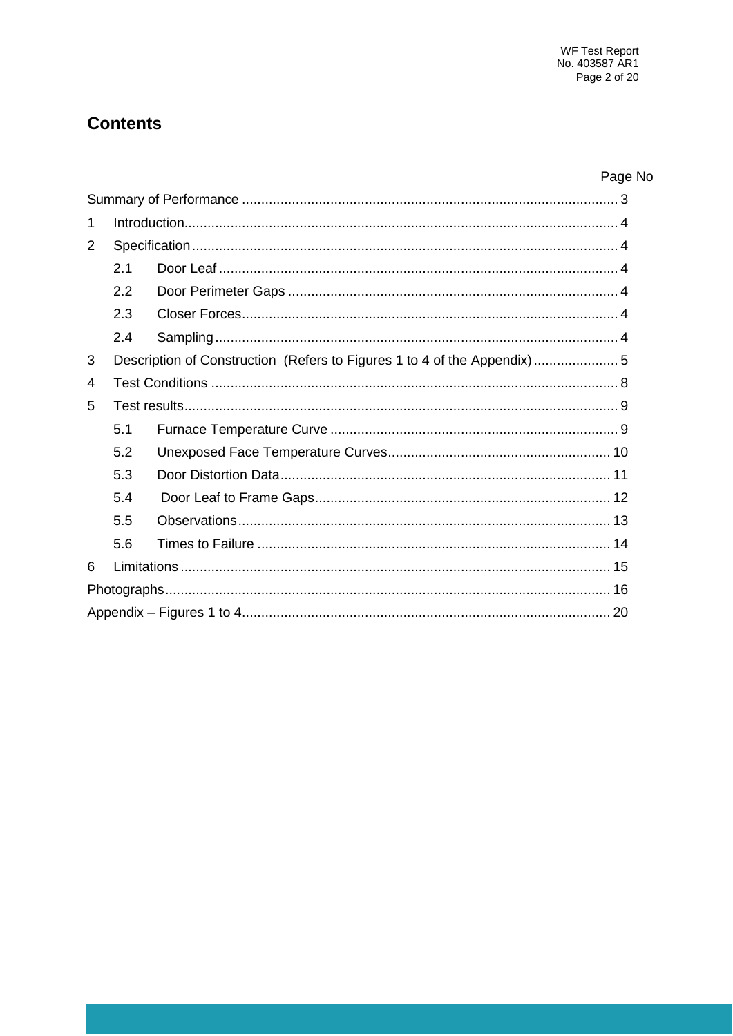## **Contents**

# Page No

| 1 |                                                                          |  |  |  |  |  |  |
|---|--------------------------------------------------------------------------|--|--|--|--|--|--|
| 2 |                                                                          |  |  |  |  |  |  |
|   | 2.1                                                                      |  |  |  |  |  |  |
|   | 2.2                                                                      |  |  |  |  |  |  |
|   | 2.3                                                                      |  |  |  |  |  |  |
|   | 2.4                                                                      |  |  |  |  |  |  |
| 3 | Description of Construction (Refers to Figures 1 to 4 of the Appendix) 5 |  |  |  |  |  |  |
| 4 |                                                                          |  |  |  |  |  |  |
| 5 |                                                                          |  |  |  |  |  |  |
|   | 5.1                                                                      |  |  |  |  |  |  |
|   | 5.2                                                                      |  |  |  |  |  |  |
|   | 5.3                                                                      |  |  |  |  |  |  |
|   | 5.4                                                                      |  |  |  |  |  |  |
|   | 5.5                                                                      |  |  |  |  |  |  |
|   | 5.6                                                                      |  |  |  |  |  |  |
| 6 |                                                                          |  |  |  |  |  |  |
|   |                                                                          |  |  |  |  |  |  |
|   |                                                                          |  |  |  |  |  |  |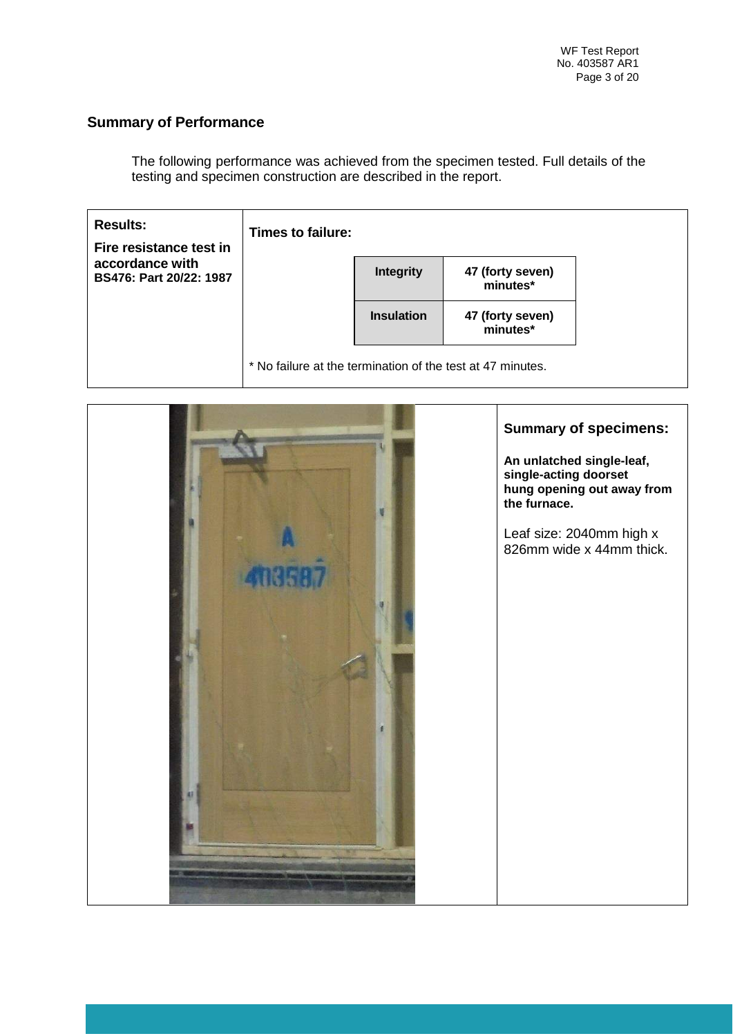## **Summary of Performance**

The following performance was achieved from the specimen tested. Full details of the testing and specimen construction are described in the report.

| <b>Results:</b><br>Fire resistance test in | Times to failure:                                          |                   |                              |  |
|--------------------------------------------|------------------------------------------------------------|-------------------|------------------------------|--|
| accordance with<br>BS476: Part 20/22: 1987 |                                                            | <b>Integrity</b>  | 47 (forty seven)<br>minutes* |  |
|                                            |                                                            | <b>Insulation</b> | 47 (forty seven)<br>minutes* |  |
|                                            | * No failure at the termination of the test at 47 minutes. |                   |                              |  |

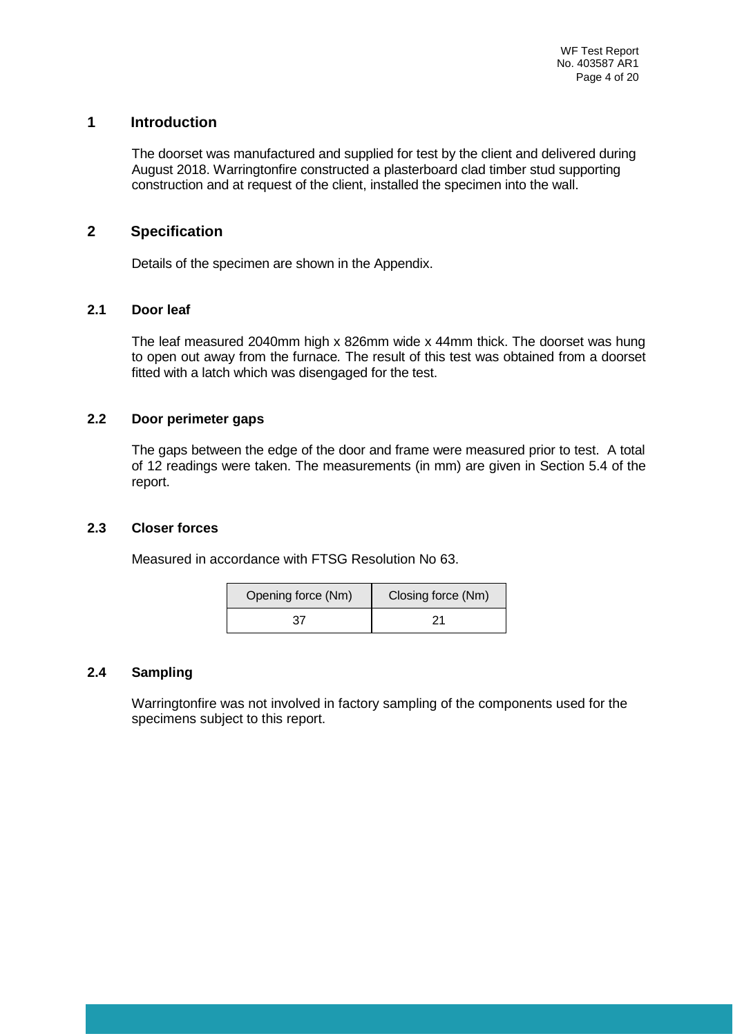#### **1 Introduction**

The doorset was manufactured and supplied for test by the client and delivered during August 2018. Warringtonfire constructed a plasterboard clad timber stud supporting construction and at request of the client, installed the specimen into the wall.

#### **2 Specification**

Details of the specimen are shown in the Appendix.

#### **2.1 Door leaf**

The leaf measured 2040mm high x 826mm wide x 44mm thick. The doorset was hung to open out away from the furnace*.* The result of this test was obtained from a doorset fitted with a latch which was disengaged for the test.

#### **2.2 Door perimeter gaps**

The gaps between the edge of the door and frame were measured prior to test. A total of 12 readings were taken. The measurements (in mm) are given in Section 5.4 of the report.

#### **2.3 Closer forces**

Measured in accordance with FTSG Resolution No 63.

| Opening force (Nm) | Closing force (Nm) |
|--------------------|--------------------|
| 37                 | 21                 |

#### **2.4 Sampling**

Warringtonfire was not involved in factory sampling of the components used for the specimens subject to this report.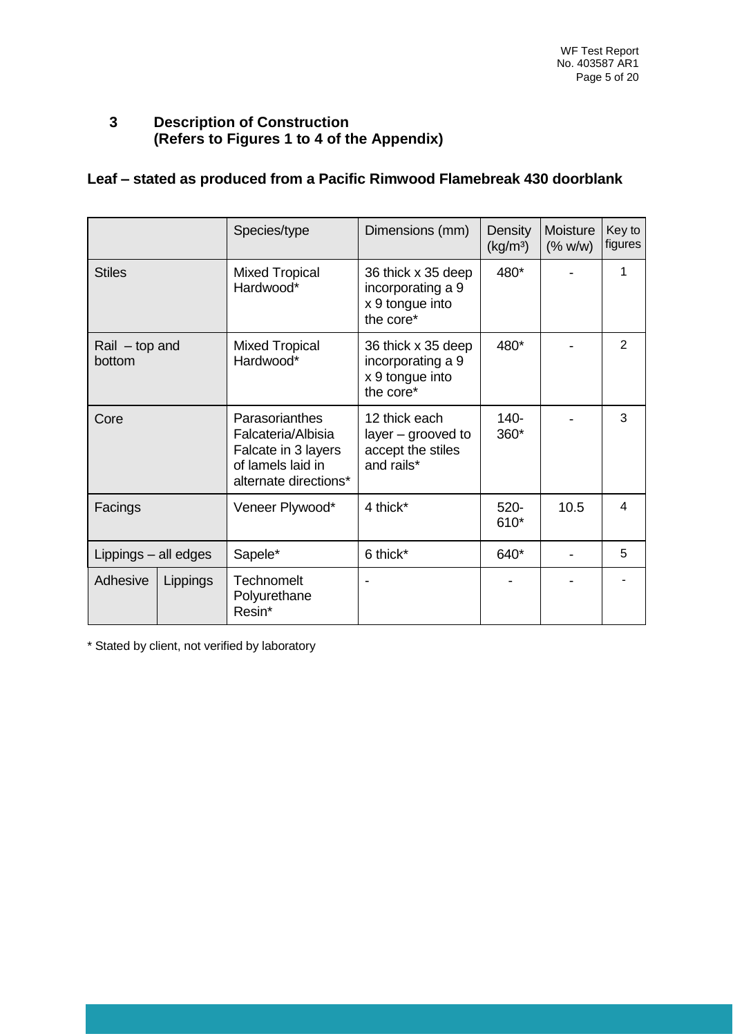### **3 Description of Construction (Refers to Figures 1 to 4 of the Appendix)**

## **Leaf – stated as produced from a Pacific Rimwood Flamebreak 430 doorblank**

|                            |          | Species/type                                                                                              | Dimensions (mm)                                                         | Density<br>(kg/m <sup>3</sup> ) | Moisture<br>(% w/w) | Key to<br>figures |
|----------------------------|----------|-----------------------------------------------------------------------------------------------------------|-------------------------------------------------------------------------|---------------------------------|---------------------|-------------------|
| <b>Stiles</b>              |          | <b>Mixed Tropical</b><br>Hardwood*                                                                        | 36 thick x 35 deep<br>incorporating a 9<br>x 9 tongue into<br>the core* | 480*                            |                     |                   |
| $Rail - top and$<br>bottom |          | <b>Mixed Tropical</b><br>Hardwood*                                                                        | 36 thick x 35 deep<br>incorporating a 9<br>x 9 tongue into<br>the core* | 480*                            |                     | 2                 |
| Core                       |          | Parasorianthes<br>Falcateria/Albisia<br>Falcate in 3 layers<br>of lamels laid in<br>alternate directions* | 12 thick each<br>layer – grooved to<br>accept the stiles<br>and rails*  | $140 -$<br>360*                 |                     | 3                 |
| Facings                    |          | Veneer Plywood*                                                                                           | 4 thick*                                                                | $520 -$<br>610*                 | 10.5                | 4                 |
| Lippings - all edges       |          | Sapele*                                                                                                   | 6 thick*                                                                | 640*                            |                     | 5                 |
| Adhesive                   | Lippings | Technomelt<br>Polyurethane<br>Resin*                                                                      |                                                                         |                                 |                     |                   |

\* Stated by client, not verified by laboratory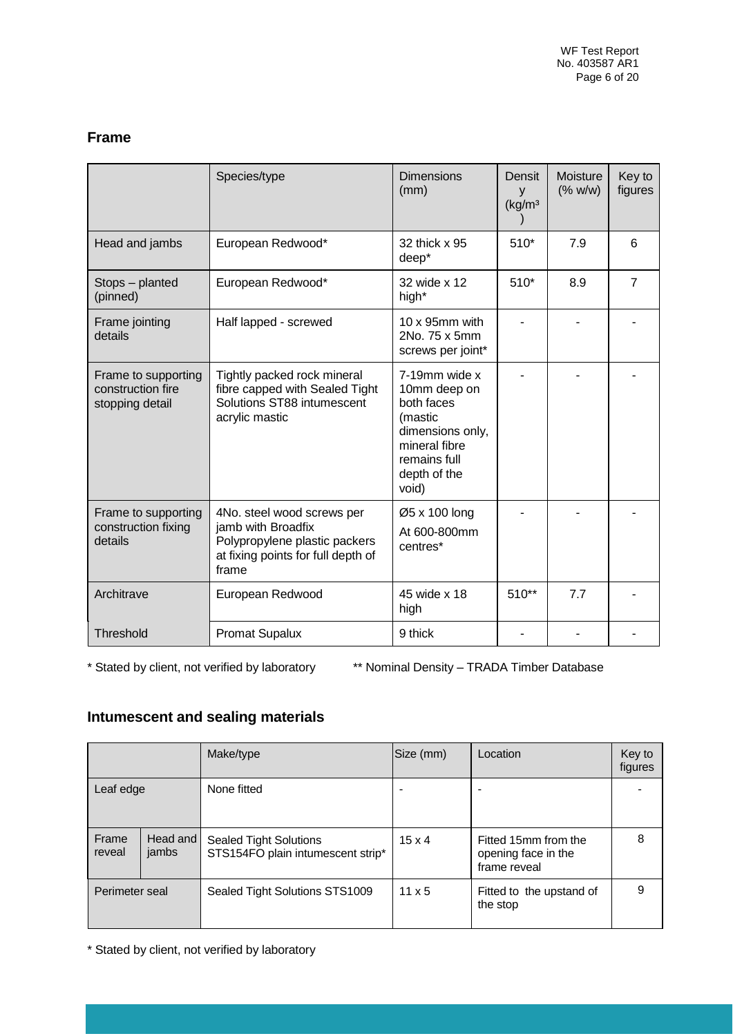#### **Frame**

|                                                             | Species/type                                                                                                                     | <b>Dimensions</b><br>(mm)                                                                                                            | Densit<br>y<br>(kg/m <sup>3</sup> ) | Moisture<br>(% w/w) | Key to<br>figures |
|-------------------------------------------------------------|----------------------------------------------------------------------------------------------------------------------------------|--------------------------------------------------------------------------------------------------------------------------------------|-------------------------------------|---------------------|-------------------|
| Head and jambs                                              | European Redwood*                                                                                                                | 32 thick x 95<br>deep*                                                                                                               | $510*$                              | 7.9                 | 6                 |
| Stops - planted<br>(pinned)                                 | European Redwood*                                                                                                                | 32 wide x 12<br>high*                                                                                                                | $510*$                              | 8.9                 | $\overline{7}$    |
| Frame jointing<br>details                                   | Half lapped - screwed                                                                                                            | $10 \times 95$ mm with<br>2No. 75 x 5mm<br>screws per joint*                                                                         |                                     |                     |                   |
| Frame to supporting<br>construction fire<br>stopping detail | Tightly packed rock mineral<br>fibre capped with Sealed Tight<br>Solutions ST88 intumescent<br>acrylic mastic                    | 7-19mm wide x<br>10mm deep on<br>both faces<br>(mastic<br>dimensions only,<br>mineral fibre<br>remains full<br>depth of the<br>void) |                                     |                     |                   |
| Frame to supporting<br>construction fixing<br>details       | 4No. steel wood screws per<br>jamb with Broadfix<br>Polypropylene plastic packers<br>at fixing points for full depth of<br>frame | Ø5 x 100 long<br>At 600-800mm<br>centres*                                                                                            |                                     |                     |                   |
| Architrave                                                  | European Redwood                                                                                                                 | 45 wide x 18<br>high                                                                                                                 | $510**$                             | 7.7                 |                   |
| Threshold                                                   | <b>Promat Supalux</b>                                                                                                            | 9 thick                                                                                                                              |                                     |                     |                   |

\* Stated by client, not verified by laboratory \*\* Nominal Density – TRADA Timber Database

## **Intumescent and sealing materials**

|                 |                   | Make/type                                                          | Size (mm)     | Location                                                    | Key to<br>figures |
|-----------------|-------------------|--------------------------------------------------------------------|---------------|-------------------------------------------------------------|-------------------|
| Leaf edge       |                   | None fitted                                                        |               |                                                             |                   |
| Frame<br>reveal | Head and<br>jambs | <b>Sealed Tight Solutions</b><br>STS154FO plain intumescent strip* | $15 \times 4$ | Fitted 15mm from the<br>opening face in the<br>frame reveal | 8                 |
| Perimeter seal  |                   | Sealed Tight Solutions STS1009                                     | $11 \times 5$ | Fitted to the upstand of<br>the stop                        | 9                 |

\* Stated by client, not verified by laboratory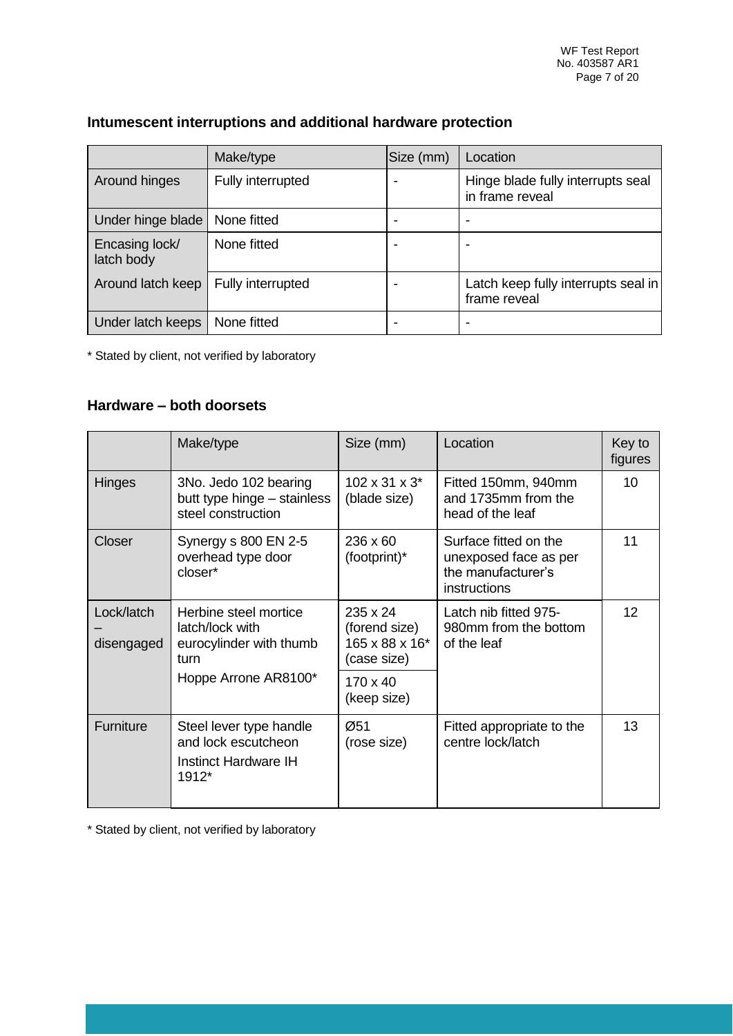|                              | Make/type         | Size (mm) | Location                                             |
|------------------------------|-------------------|-----------|------------------------------------------------------|
| Around hinges                | Fully interrupted |           | Hinge blade fully interrupts seal<br>in frame reveal |
| Under hinge blade            | None fitted       |           | ۰                                                    |
| Encasing lock/<br>latch body | None fitted       |           |                                                      |
| Around latch keep            | Fully interrupted |           | Latch keep fully interrupts seal in<br>frame reveal  |
| Under latch keeps            | None fitted       |           | -                                                    |

## **Intumescent interruptions and additional hardware protection**

\* Stated by client, not verified by laboratory

#### **Hardware – both doorsets**

|                          | Make/type                                                                       | Size (mm)                                                  | Location                                                                             | Key to<br>figures |
|--------------------------|---------------------------------------------------------------------------------|------------------------------------------------------------|--------------------------------------------------------------------------------------|-------------------|
| <b>Hinges</b>            | 3No. Jedo 102 bearing<br>butt type hinge - stainless<br>steel construction      | $102 \times 31 \times 3^*$<br>(blade size)                 | Fitted 150mm, 940mm<br>and 1735mm from the<br>head of the leaf                       | 10                |
| Closer                   | Synergy s 800 EN 2-5<br>overhead type door<br>closer*                           | $236 \times 60$<br>(footprint)*                            | Surface fitted on the<br>unexposed face as per<br>the manufacturer's<br>instructions | 11                |
| Lock/latch<br>disengaged | Herbine steel mortice<br>latch/lock with<br>eurocylinder with thumb<br>turn     | 235 x 24<br>(forend size)<br>165 x 88 x 16*<br>(case size) | Latch nib fitted 975-<br>980mm from the bottom<br>of the leaf                        | $12 \overline{ }$ |
|                          | Hoppe Arrone AR8100*                                                            | $170 \times 40$<br>(keep size)                             |                                                                                      |                   |
| Furniture                | Steel lever type handle<br>and lock escutcheon<br>Instinct Hardware IH<br>1912* | Ø51<br>(rose size)                                         | Fitted appropriate to the<br>centre lock/latch                                       | 13                |

\* Stated by client, not verified by laboratory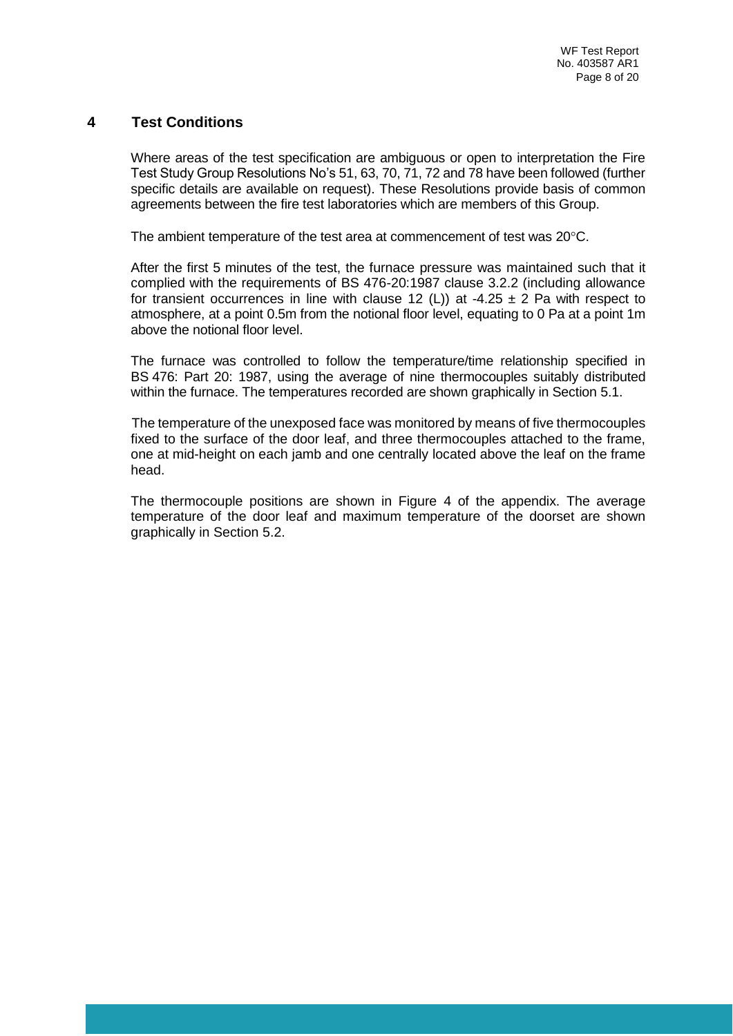#### **4 Test Conditions**

Where areas of the test specification are ambiguous or open to interpretation the Fire Test Study Group Resolutions No's 51, 63, 70, 71, 72 and 78 have been followed (further specific details are available on request). These Resolutions provide basis of common agreements between the fire test laboratories which are members of this Group.

The ambient temperature of the test area at commencement of test was  $20^{\circ}$ C.

After the first 5 minutes of the test, the furnace pressure was maintained such that it complied with the requirements of BS 476-20:1987 clause 3.2.2 (including allowance for transient occurrences in line with clause 12 (L)) at -4.25  $\pm$  2 Pa with respect to atmosphere, at a point 0.5m from the notional floor level, equating to 0 Pa at a point 1m above the notional floor level.

The furnace was controlled to follow the temperature/time relationship specified in BS 476: Part 20: 1987, using the average of nine thermocouples suitably distributed within the furnace. The temperatures recorded are shown graphically in Section 5.1.

The temperature of the unexposed face was monitored by means of five thermocouples fixed to the surface of the door leaf, and three thermocouples attached to the frame, one at mid-height on each jamb and one centrally located above the leaf on the frame head.

The thermocouple positions are shown in Figure 4 of the appendix. The average temperature of the door leaf and maximum temperature of the doorset are shown graphically in Section 5.2.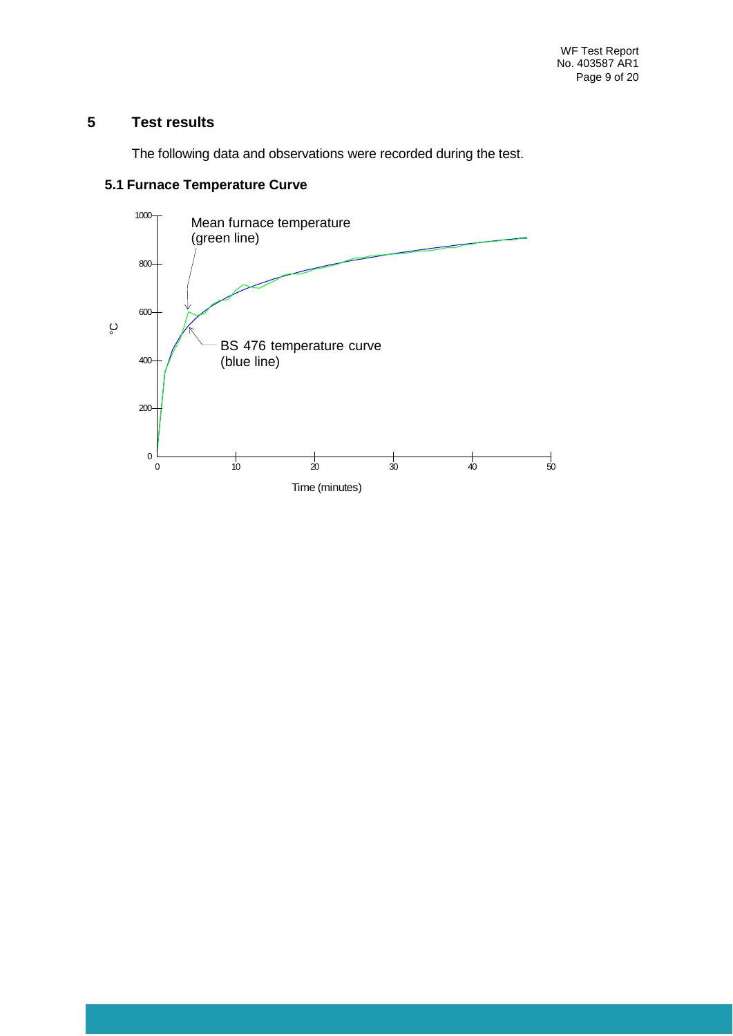## **5 Test results**

The following data and observations were recorded during the test.



#### **5.1 Furnace Temperature Curve**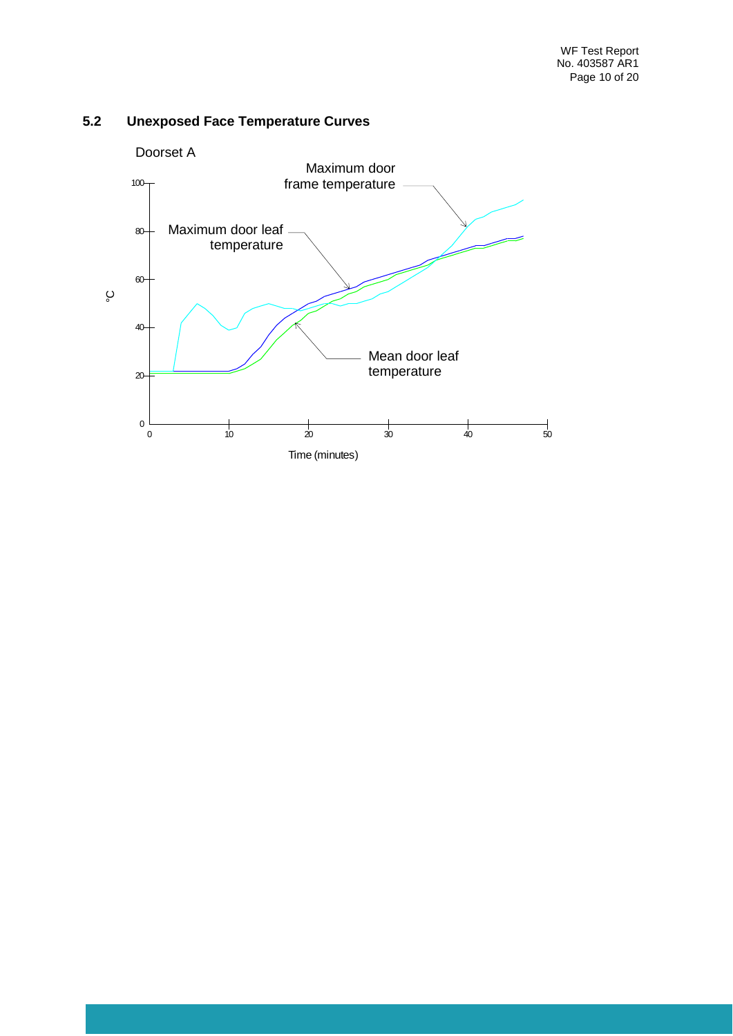

## **5.2 Unexposed Face Temperature Curves**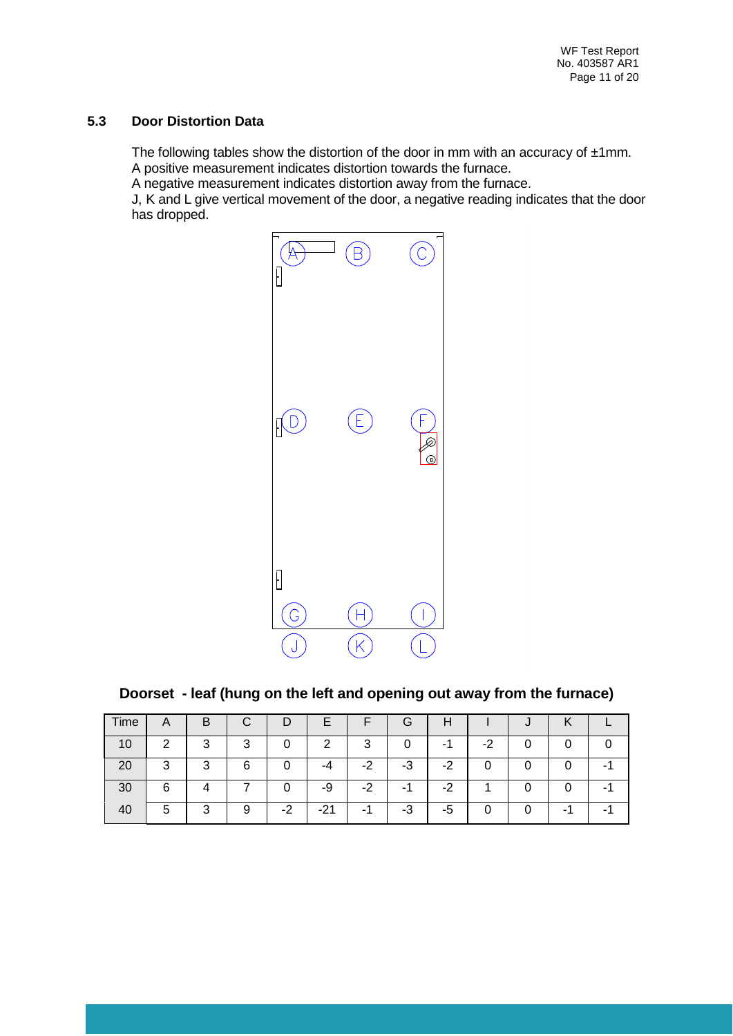#### **5.3 Door Distortion Data**

The following tables show the distortion of the door in mm with an accuracy of  $\pm 1$ mm. A positive measurement indicates distortion towards the furnace.

A negative measurement indicates distortion away from the furnace.

J, K and L give vertical movement of the door, a negative reading indicates that the door has dropped.



**Doorset - leaf (hung on the left and opening out away from the furnace)**

| Time | $\mathsf{A}$ | B        | С |    | c.    | ┍    | G       | п       |    | $\overline{\phantom{a}}$ |   |  |
|------|--------------|----------|---|----|-------|------|---------|---------|----|--------------------------|---|--|
| 10   | ◠            | ົ<br>. . | 3 |    | 2     | 3    | 0       | - 1     | -2 |                          |   |  |
| 20   | 3            | ົ<br>. . | 6 |    | -4    | $-2$ | -3      | ົ<br>-2 | ი  |                          |   |  |
| 30   | 6            |          |   |    | -9    | $-2$ |         | -2      |    |                          |   |  |
|      | 5            | ◠<br>s.  |   | -2 | $-21$ | ۰    | n<br>-ئ | -5      |    |                          | - |  |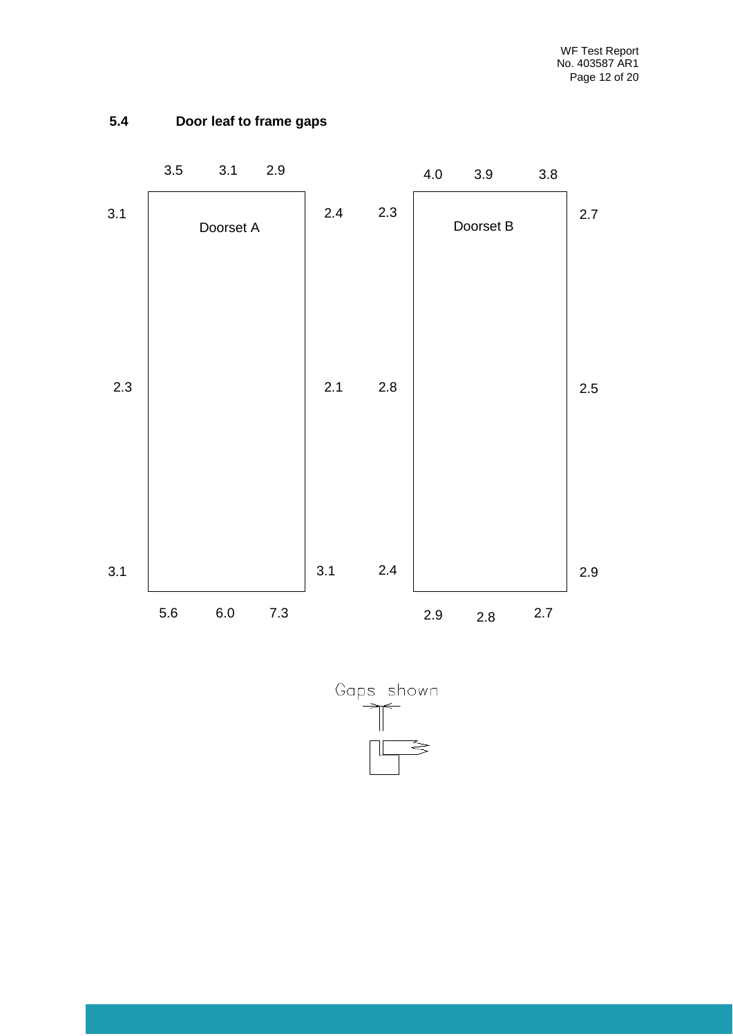

## **5.4 Door leaf to frame gaps**

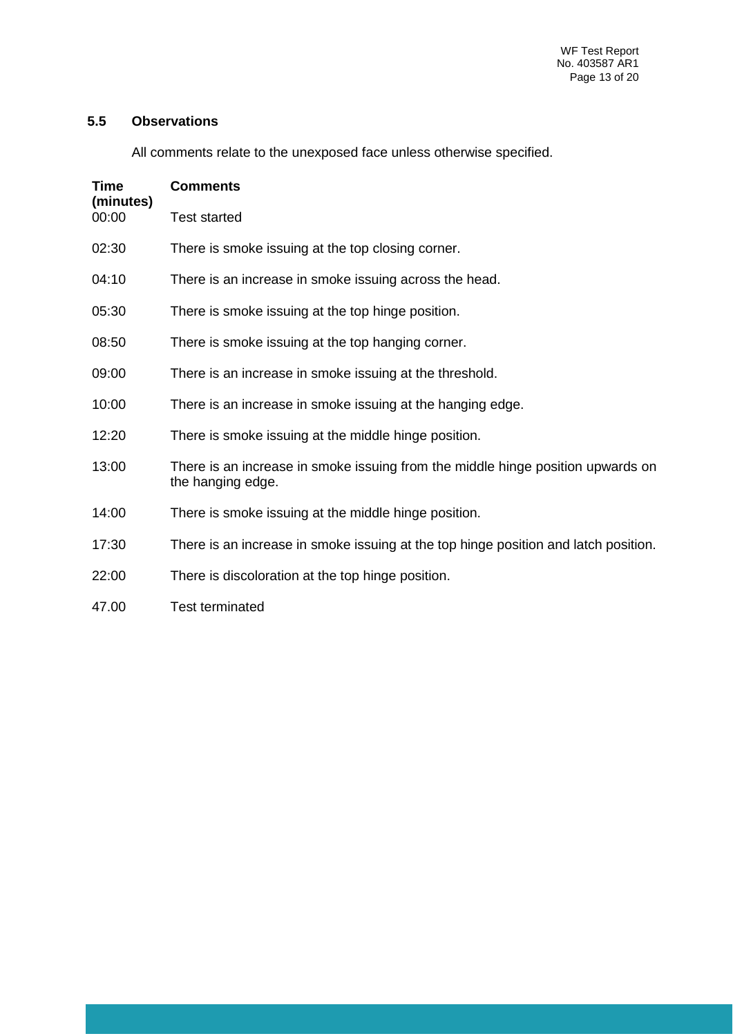## **5.5 Observations**

All comments relate to the unexposed face unless otherwise specified.

| Time<br>(minutes) | <b>Comments</b>                                                                                      |
|-------------------|------------------------------------------------------------------------------------------------------|
| 00:00             | <b>Test started</b>                                                                                  |
| 02:30             | There is smoke issuing at the top closing corner.                                                    |
| 04:10             | There is an increase in smoke issuing across the head.                                               |
| 05:30             | There is smoke issuing at the top hinge position.                                                    |
| 08:50             | There is smoke issuing at the top hanging corner.                                                    |
| 09:00             | There is an increase in smoke issuing at the threshold.                                              |
| 10:00             | There is an increase in smoke issuing at the hanging edge.                                           |
| 12:20             | There is smoke issuing at the middle hinge position.                                                 |
| 13:00             | There is an increase in smoke issuing from the middle hinge position upwards on<br>the hanging edge. |
| 14:00             | There is smoke issuing at the middle hinge position.                                                 |
| 17:30             | There is an increase in smoke issuing at the top hinge position and latch position.                  |
| 22:00             | There is discoloration at the top hinge position.                                                    |
| 47.00             | <b>Test terminated</b>                                                                               |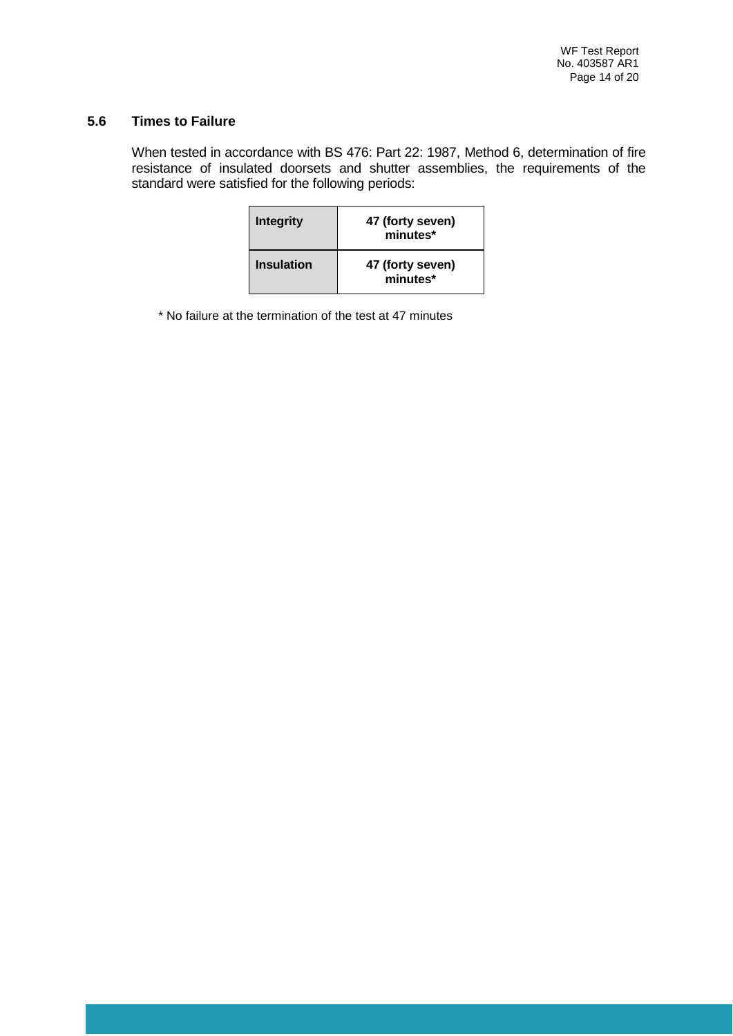#### **5.6 Times to Failure**

When tested in accordance with BS 476: Part 22: 1987, Method 6, determination of fire resistance of insulated doorsets and shutter assemblies, the requirements of the standard were satisfied for the following periods:

| <b>Integrity</b>  | 47 (forty seven)<br>minutes* |
|-------------------|------------------------------|
| <b>Insulation</b> | 47 (forty seven)<br>minutes* |

\* No failure at the termination of the test at 47 minutes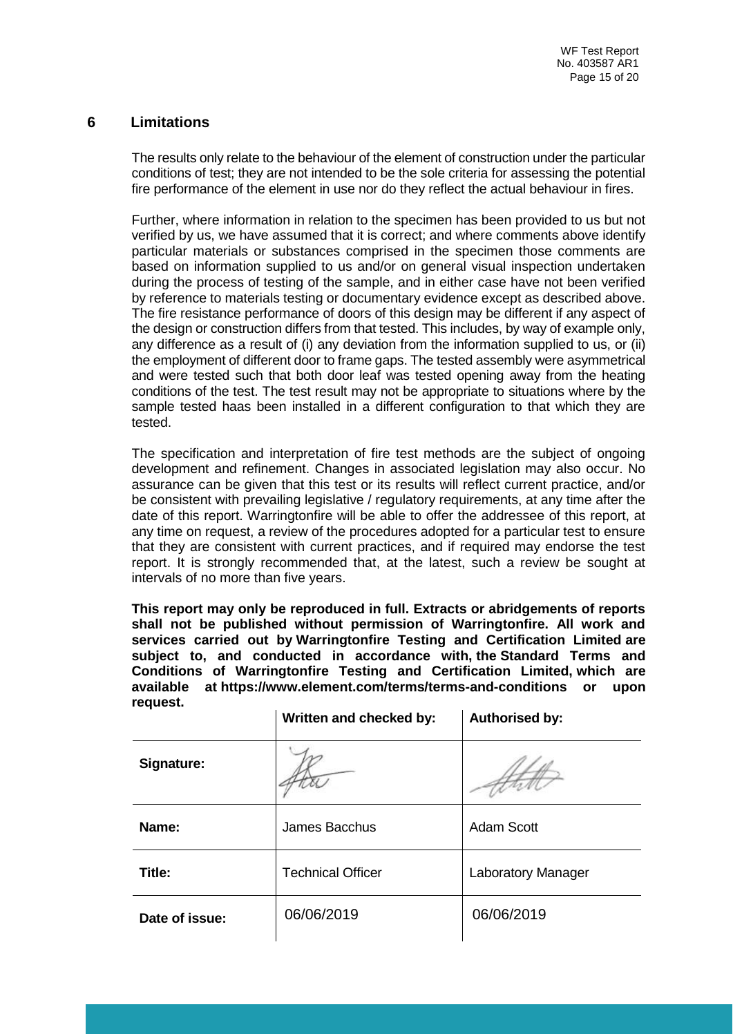#### **6 Limitations**

The results only relate to the behaviour of the element of construction under the particular conditions of test; they are not intended to be the sole criteria for assessing the potential fire performance of the element in use nor do they reflect the actual behaviour in fires.

Further, where information in relation to the specimen has been provided to us but not verified by us, we have assumed that it is correct; and where comments above identify particular materials or substances comprised in the specimen those comments are based on information supplied to us and/or on general visual inspection undertaken during the process of testing of the sample, and in either case have not been verified by reference to materials testing or documentary evidence except as described above. The fire resistance performance of doors of this design may be different if any aspect of the design or construction differs from that tested. This includes, by way of example only, any difference as a result of (i) any deviation from the information supplied to us, or (ii) the employment of different door to frame gaps. The tested assembly were asymmetrical and were tested such that both door leaf was tested opening away from the heating conditions of the test. The test result may not be appropriate to situations where by the sample tested haas been installed in a different configuration to that which they are tested.

The specification and interpretation of fire test methods are the subject of ongoing development and refinement. Changes in associated legislation may also occur. No assurance can be given that this test or its results will reflect current practice, and/or be consistent with prevailing legislative / regulatory requirements, at any time after the date of this report. Warringtonfire will be able to offer the addressee of this report, at any time on request, a review of the procedures adopted for a particular test to ensure that they are consistent with current practices, and if required may endorse the test report. It is strongly recommended that, at the latest, such a review be sought at intervals of no more than five years.

**This report may only be reproduced in full. Extracts or abridgements of reports shall not be published without permission of Warringtonfire. All work and services carried out by Warringtonfire Testing and Certification Limited are subject to, and conducted in accordance with, the Standard Terms and Conditions of Warringtonfire Testing and Certification Limited, which are available at <https://www.element.com/terms/terms-and-conditions> or upon request.**

|                | Written and checked by:  | <b>Authorised by:</b> |
|----------------|--------------------------|-----------------------|
| Signature:     |                          |                       |
| Name:          | James Bacchus            | <b>Adam Scott</b>     |
| Title:         | <b>Technical Officer</b> | Laboratory Manager    |
| Date of issue: | 06/06/2019               | 06/06/2019            |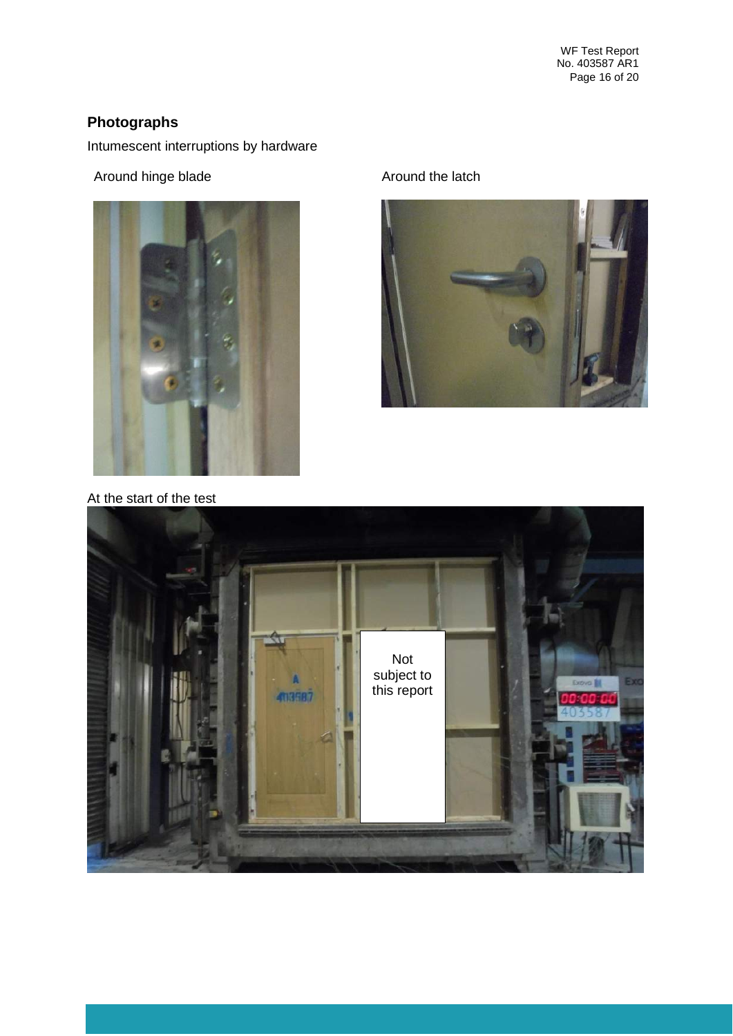WF Test Report No. 403587 AR1 Page 16 of 20

## **Photographs**

Intumescent interruptions by hardware

Around hinge blade Around the latch



At the start of the test



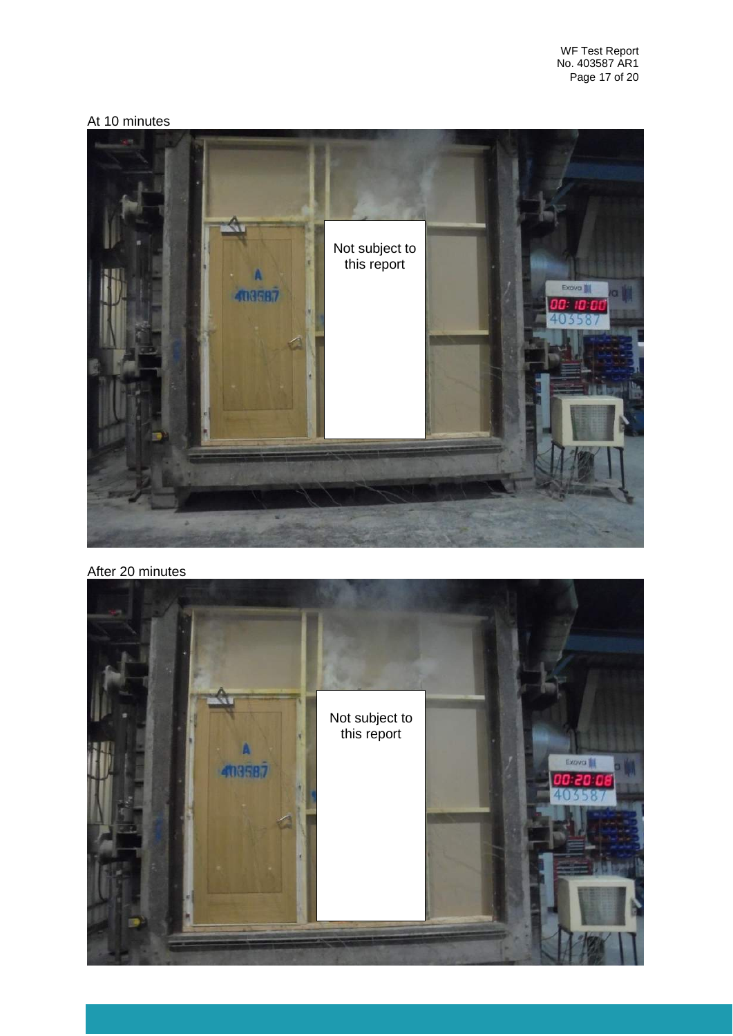WF Test Report No. 403587 AR1 Page 17 of 20

## At 10 minutes



#### After 20 minutes

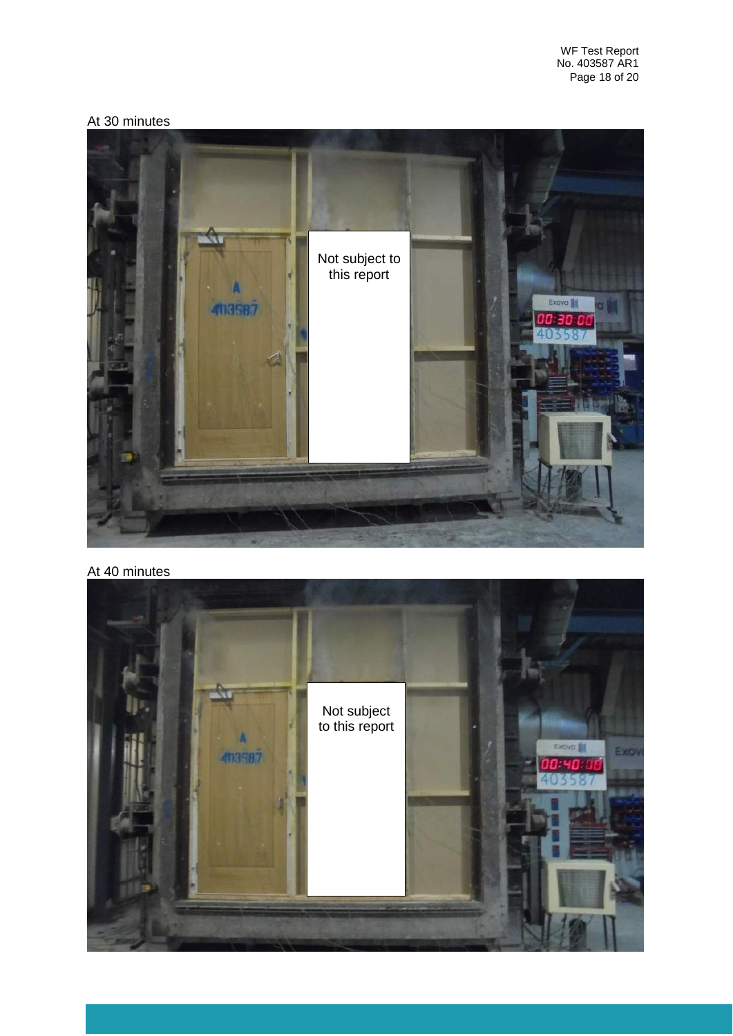## At 30 minutes



## At 40 minutes

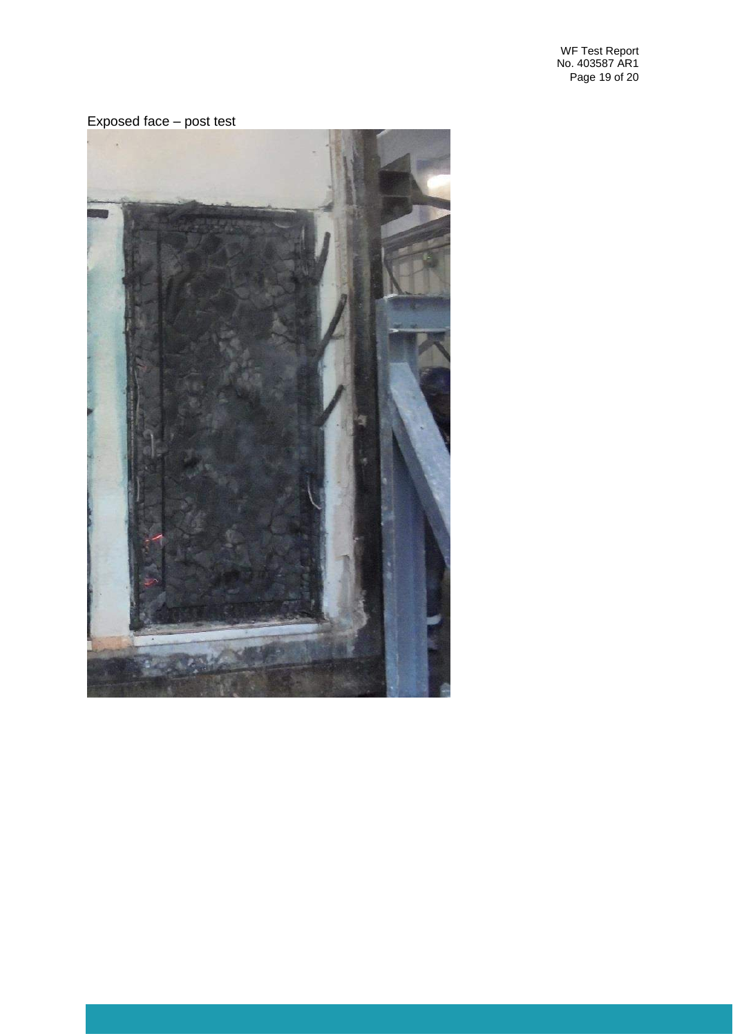WF Test Report No. 403587 AR1 Page 19 of 20

#### Exposed face – post test

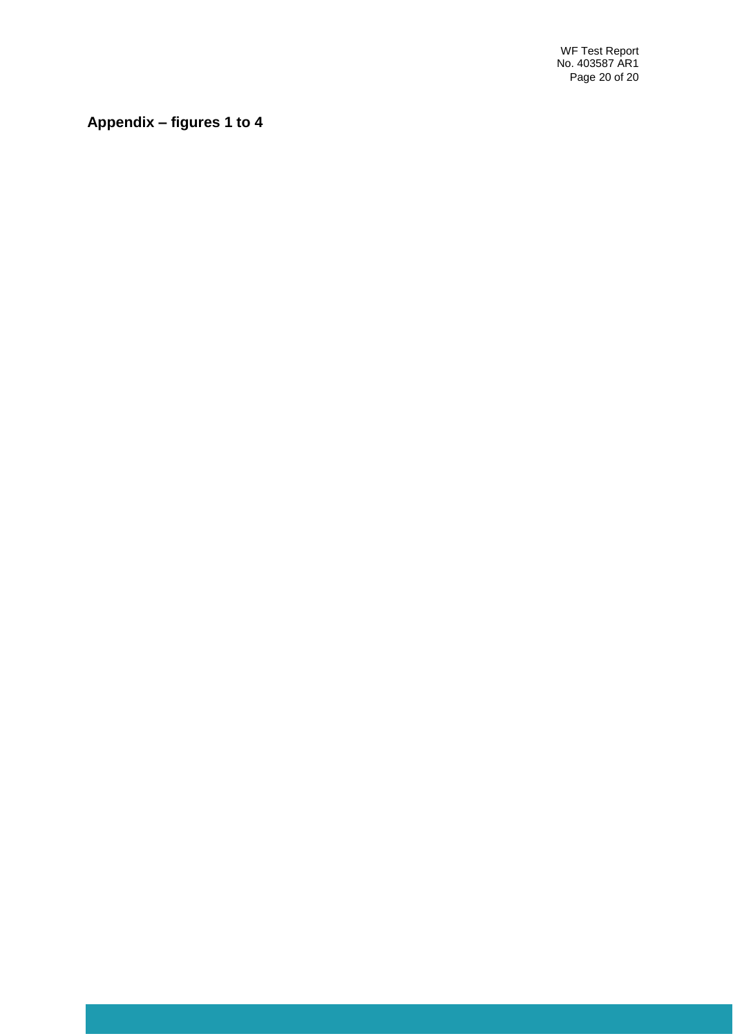WF Test Report No. 403587 AR1 Page 20 of 20

**Appendix – figures 1 to 4**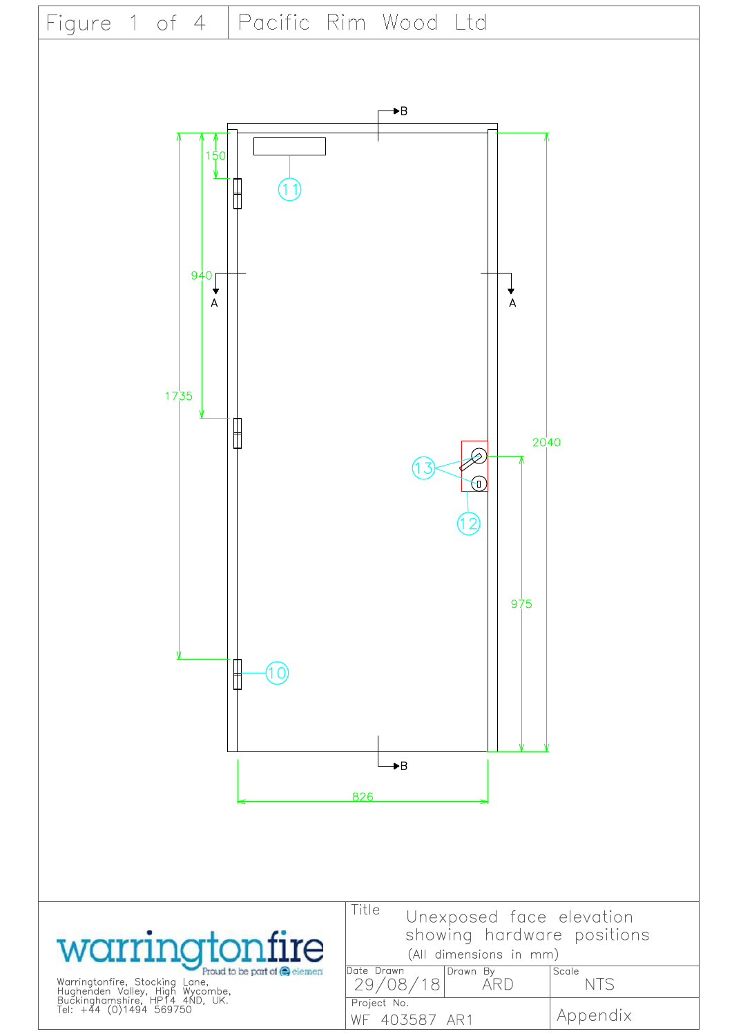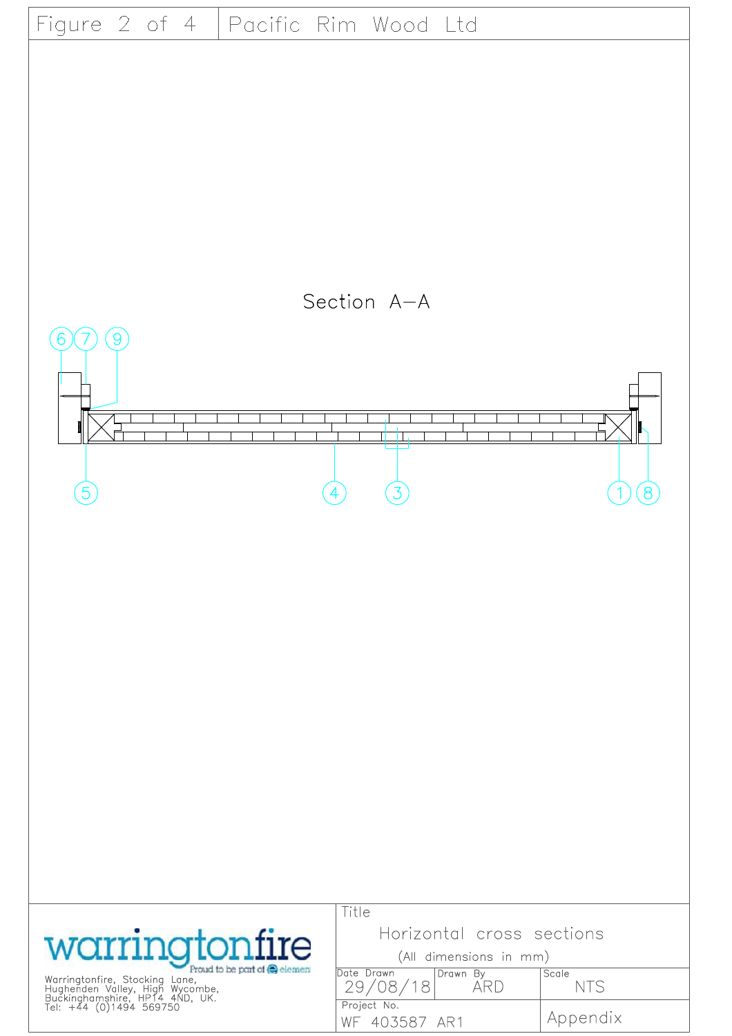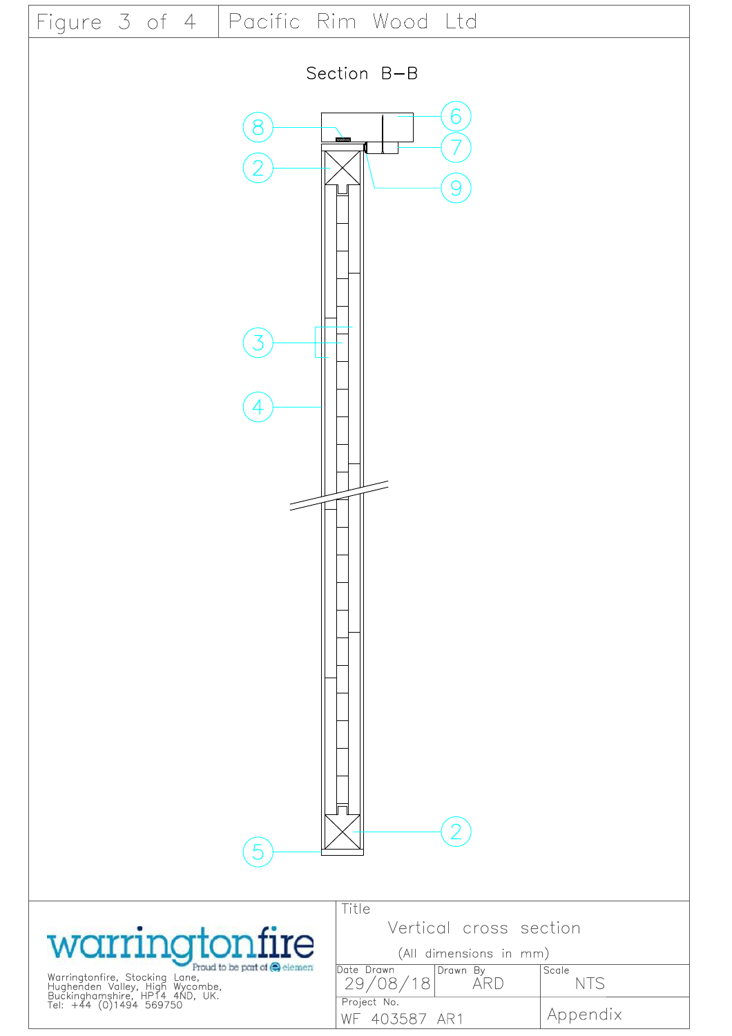